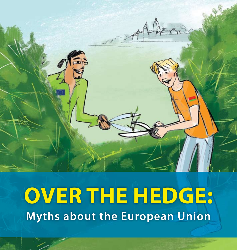

# **OVER THE HEDGE: Myths about the European Union**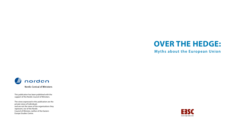

**Myths about the European Union**



This publication has been published with the support of the Nordic Council of Ministers.

The views expressed in this publication are the private views of individuals and are not the views of the organisations they represent, nor of the Nordic Council of Minister, neither of the Eastern Europe Studies Centre.

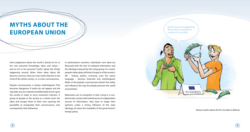# **MYTHS ABOUT THE EUROPEAN UNION**

One's judgement about the world is based on his or her own personal knowledge, ideas and values – and on his or her personal "myths" about the things happening around. When these ideas about life become common, they turn into myths that live in the mind of the whole society, i.e. in mass consciousness.

Popular consciousness is always mythologised. That becomes dangerous if myths do not appear and die naturally, but are created and deliberately thrust upon the society in order to serve someone's interests. A group of people or the society as a whole trusts the ideas and accepts them as their own, opening the possibility to manipulate their consciousness, and, consequently, their behaviour.

In authoritarian countries, individual's own ideas are flavoured with the lack of unbiased information and the ideology imposed by the ruling group. As a result, people's ideas about all kinds of aspects of the society's life – history, politics, economy, even the native language – become distorted and mythologised. Myths in the popular consciousness distort the reality and influence the way the people perceive the world around them.

Belarusians are no exception in that. Living in a nondemocratic society with limited access to independent sources of information, they have to shape their opinions under a strong influence of the state ideology, let alone the instability of the government's foreign policy.



Various myths about the EU circulate in Belarus.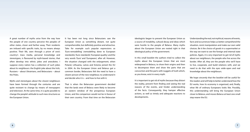A great number of myths arise from the way how the people of one country perceive the peoples of other states, closer and farther away. Their residents are imbued with specific traits, by no means always positive. Their life, seen through a prism of one's country's mass media, personal knowledge and stereotypes, is flavoured by myth-based stories, that often develop into ethnic jokes and anecdotes. I suppose every nation has a collection of such jokes about its neighbours: the English joke about the Irish, Russians – about Ukrainians, and Belarusians – about the Poles.

Myths and stereotypes about the closest neighbours have been formed through the centuries and are quite resistant to change by means of newspapers and television. At the same time, it is quite possible to change the people's attitude to such new structures as the European Union.

It has been not long since Belarusians saw the European Union as something distant, not quite comprehensible, but definitely positive and attractive. Take for example such popular expressions as 'Euro-remodelling' (remodelling done to European standards), 'Euro-standards', 'European quality', and the very words 'Euro' and 'Europeans', after all. However, the situation changed with the enlargement, when Poland, Lithuania, Latvia and Estonia joined the EU in 2004. As the European Union and Belarus got a common border, Belarusians felt the need to have a clearer picture of the new neighbour, to understand it and decide who it is – and how to live with it.

That is when the Belarusian government decided that the lands west of Belarus were likely to become an eastern window of the prosperous European Union, and the comparison would not be in favour of their own country. From that time on the Belarusian

ideologists began to present the European Union as a source of instability, cultural decay and ideas which were hostile to the people of Belarus. Many myths about the European Union are rooted right in that ideological policy of the government.

In this small booklet the authors tried to collect the myths about the European Union that are most widespread in Belarus, to show their origins and then to decompose them and show the parts that are concoction and the parts with nuggets of truth which, as you know, exist in every myth.

It is important to get rid of myths because they distort the reality, prevent from finding and seeing the real reasons of the events, and hinder understanding of the facts. Consequently, they hamper effective actions, as well as timely and adequate reactions to developments.

Understanding the real, not mythical, reasons of events, facts and occurrences helps us better comprehend the situation, resist manipulation and make our own valid choices. Be it the choice of goods in a supermarket or the way we want to see the foreign and internal state policies. Again, it is very important to get rid of myths about our neighbours, the people who live across the border. After all, they are the people who we'll have to live, cooperate, and build relations with, and we need to do that with the eyes wide-open and real knowledge about the neighbours.

We hope sincerely that the booklet will be useful for the readers and will help to better understand how the EU works, how its economy is organised, and, finally, what life of ordinary Europeans looks like. Possibly, this understanding will bring the European Union closer to Belarus, and moves Belarus at least one small step nearer the EU.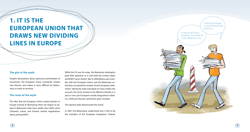# **1. IT IS THE EUROPEAN UNION THAT DRAWS NEW DIVIDING LINES IN EUROPE**

### **The gist of the myth**

Despite declarations about openness and freedom of movement, the European Union constantly creates new barriers and makes it more difficult for Belarusians to enter its territory.

## **The roots of the myth**

The idea that the European Union creates barriers in Europe instead of destroying them has begun to appear in Belarusian state mass media since 2002, when Lithuania, Latvia, and Estonia started negotiations about joining NATO.

While the EU was far away, the Belarusian ideologists paid little attention to it and held the United States and NATO "up to shame". But in 2004 Belarus got a border with the European Union, and the Belarusian authorities increased the number of anti-European statements. Taking the state monopoly on mass media into account, the tactic proved to be effective literally in a year or two: pro-European moods languished in Belarus, while pro-Russian sentiments grew stronger.

#### The opinion polls demonstrate this trend.

In 2007 the Belarusians understood how it felt to be the outsiders of the European integration. Poland,

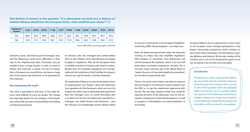| <b>Variant of</b><br>answer | 12'02 | 03'03 | 09'05 | 11'06 | 12'07 | 09'08 | 12'08 | 03'09 | 09'09 | 12'09 | 03'10 |
|-----------------------------|-------|-------|-------|-------|-------|-------|-------|-------|-------|-------|-------|
| Yes                         | 60.9  | 56.4  | 38.0  | 36.6  | 37.1  | 26.7  | 30.1  | 34.9  | 44.1  | 40.7  | 36.2  |
| <b>No</b>                   | 10.9  | 11.9  | 44.0  | 36.2  | 35.0  | 51.9  | 40.6  | 36.3  | 32.8  | 34.6  | 37.2  |

**Distribution of answers to the question: "If a referendum was held now in Belarus on whether Belarus should join the European Union, what would be your choice?", %**

Source: IISEPS (http://www.iiseps.org/03-10-05.html)

Lithuania, Latvia, and Estonia joined Schengen area, and the Belarusians faced more difficulties in their trips to the neighbouring states. Previously, one just needed to buy a cheap voucher in order to travel to Poland, and could get a Latvian visa free of charge. Now a Schengen visa costs 60 Euro, and means a huge pile of documents and references to be presented at the embassies.

#### **Decomposing the myth**

The myth is grounded in real facts: it has really become more difficult to cross the border. The change was especially painful for the residents of the border area, whose life was tied to the possibility of travelling to Poland and Lithuania.

For fairness' sake, the Schengen area existed before 2007 as well, Poland, Latvia and Lithuania just began to apply its regulations. After all, the European Union is entitled to protect its territory and check its visitors. Besides that, the Schengen regulations are incomparable with the restrictions of the Cold War, for instance, and we can't say the border is closed completely.

The leadership of Belarus accuses the European Union of prepossession, but "forgets" about the Belarusian visa regulations for the Europeans, which are not a bit simpler, but rather more complicated (and expensive!) than the Schengen ones. It's worth reminding who is to blame for the fact that Belarusians pay €60 for a Schengen visa, while Russians and Ukrainians – only €35. Because of its leadership's actions, Belarus failed

to become a participant in the European Neighbourhood Policy (ENP). No participation – no cheap visas.

Now, the Belarusian government plays the hypocrite insisting on cheap visas and simplified regulations. With freedom of movement more Belarusians will see the European life standards, which, in its turn, will bring about unwanted comparisons. Possibly, this is the main reason why the calls of the official Minsk to "reduce the price of visas and simplify the procedures" do not advance beyond the calls.

There is no secret what needs to be done to improve the visa situation. First thing, the country needs to join the ENP, i.e. to sign the readmission agreement with the EU. The real steps towards cheap visas would be reducing the price of the Belarusian visas for the Europeans, introduction of biometrical passports, as well as progress in liberalization and democratization of the society.

At present Belarus has an opportunity to move closer to the European Union through participation in the Eastern Partnership programme, which includes six post-Soviet states (Azerbaijan, Armenia, Belarus, Georgia, Moldova, and Ukraine). By the way, creation of the visa-free area is one of the programme's goals. As we see, the barriers are not that insurmountable.

#### **Conclusion**

The Belarusian citizens really do have difficulties associated with the eastward expansion of the Schengen area. However, this is not the ill will of the European Union that allegedly builds new barriers, but, to a greater extent, the reluctance of the Belarusian authorities to establish relations of a higher level. Anytime can the Belarusian leadership show good will and make an effort to solve the visa problem.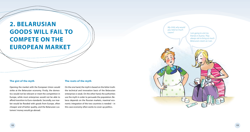# **2. BELARUSIAN GOODS WILL FAIL TO COMPETE ON THE EUROPEAN MARKET**

### **The gist of the myth**

Opening the market with the European Union would strike at the Belarusian economy. Firstly, the domestics would not be relevant or meet the competition in Europe, while most enterprises would not be able to afford transition to Euro-standards. Secondly, our market would be flooded with goods from Europe, often cheaper and of better quality, and the Belarusian customers' money would go abroad.

# **The roots of the myth**

On the one hand, the myth is based on the bitter truth: the technical and innovation basis of the Belarusian enterprises is weak. On the other hand, the authorities use the myth in order to persuade the population: Belarus depends on the Russian markets, maximal economic integration of the two countries is needed – in this case economy often works to cover up politics.

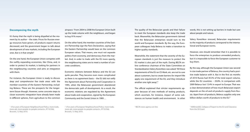#### **Decomposing the myth**

It's funny that the myth is being dispelled at the moment by its author – the state. Prices for Russian energy resources have grown, oil products export returns decreased, and the government began to talk about development of new markets, including the European ones. But is it that simple?

On the one hand, the European Union competes with the swiftly expanding economies, like China, and, in order to protect its market, is looking for partners in the neighbouring countries and aims at integration with them.

For instance, the European Union is ready to discuss *deep and comprehensive free trade areas* with the member-countries of the Eastern Partnership, including Belarus. These are the prospects for the longerterm future though. However, some concrete steps to closer economic integration have already been made in different spheres, from agriculture to the common

<sup>1</sup> «Five years of European Neighbourhood Policy: more trade, more aid, more people-to-people contacts», IP/10/566, Brussels, 12 May 2010.

airspace.1 From 2004 to 2008 the European Union built up the trade volume with the neighbours, and began to buy 91% more.<sup>2</sup>

On the other hand, the member-countries of the Eastern Partnership sign the Paris Declaration, saying that the Eastern Partnership would base on the common European values. That means, one must not separate politics from economy, and democracy from the market. And, in order to trade with the EU more openly, the neighbouring states are to meet a number of concrete conditions.

Economic relations between Belarus and the EU are quite peculiar. They become even more complicated as there is no agreement basis – the EU did not ratify the Agreement about Partnership and Cooperation in 1995, when the Belarusian government abandoned the democratic path of development. As a result, the economic relations are regulated by the Agreement about trade and cooperation, signed by the European Community and the Soviet Union in 1989…

<sup>2</sup> «Five years of European Neighbourhood Policy: more trade, more aid, more people-to-people contacts», IP/10/566, Brussels, 12 May 2010.

The quality of the Belarusian goods and their failure to meet the European standards also keep the trade back. Meanwhile, the Belarusian government claimed that the Belarusian enterprises would turn to the world and European standards. By the way, the European colleagues help Belarus to make a transition to higher quality standards.

Meanwhile, the statement that the severity of the European standards is just the measure to protect the EU market is also part of the myth. During BELTA online conference chairman of the State Committee on Standardization Valery Koreshkov was asked: "All these requirements of the EU on CE-Mark, etc. are not to care about customers, but to create barriers for import! We apply one requirement of the EU, and they introduce another one right away".<sup>3</sup>

The official explained that stricter requirements appear because of new methods of testing products, which ascertain, for instance, impact of some substances on human health and environment. In other

<sup>3</sup> BELTA news agency on-line  $4\overline{4}$ 

words, this is not setting up barriers in trade but care about people and nature.

Valery Koreshkov stressed, Belarusian requirements to the majority of products correspond to the international and European norms.

However, one should remember that it is possible to force the enterprises to produce unneeded products, but it is impossible to force the European customer to buy them.

By the way, although the European Union was second in size trade partner of Belarus, the country had a positive trade balance with it. But in the first six months of 2010 Russia had 39.3% of the total export volume, while the EU countries – 29.8%. In comparison with 2009 Belarus lost 13.4% in export to Europe. That was a clear demonstration of how much Belarusian export depends on the oil and oil products supply from Russia. Apart from oil products, Belarus supplies only one billion dollars worth of products to the EU.<sup>4</sup>

 AllMinsk.BIZ, Collapse of Export to the EU and Clearance from the Oil Grant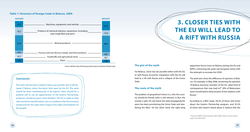#### **Table 1: Structure of foreign trade in Belarus, 2009.**



Source: BelStat, http://belstat.gov.by/homep/ru/indicators/ftrade1.php

# **Conclusion**

The myth will become a reality if status quo prevails. But it will dissipate if Belarus enters the doors held open by the EU. The work should be done simultaneously in all aspects: there should be a political will to use all opportunities of the Eastern Partnership; producers should be given more freedom. The EU is ready to help with economic transformation, but on conditions that the economy would work for the state which respects the rights and freedoms of the people.

# **3. CLOSER TIES WITH THE EU WILL LEAD TO A RIFT WITH RUSSIA**

#### **The gist of the myth**

For Belarus, closer ties are possible either with the EU, or with Russia. Economic integration with the EU will lead to a rift with Russia and a collapse of the Union State.

#### **The roots of the myth**

The problem of geopolitical choice (i.e. who the country should be friends with) is still relevant. In fact, the society is split. On one hand, the state propaganda for years has been proclaiming the Union State and slandering the West. On the other hand, the right-wing

opposition forces insist on Belarus joining the EU and NATO, contrasting the quite real European Union with the attempts to recreate the USSR.

The polls also show the difference of opinions in Belarus. For example, in May 2006, answering the question "If Belarus becomes member of the EU, what kind of consequences that may lead to?" 20% of Belarusians said it would lead to deterioration of the relations with Russia.5

According to a BISS study, 44.2% of those who know about the Eastern Partnership program, and 35.2% of those who haven't heard about it, believe that the

5 Source: IISEPS national poll, May 2006, (http://www.iiseps. org/12-05-06.html)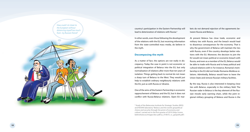

country's participation in the Eastern Partnership will lead to deterioration of relations with Russia. 6

In other words, even those following the development of the relations with the EU, but receiving information from the state-controlled mass media, do believe in the myth.

#### **Decomposing the myth**

As a matter of fact, the options are not really in discrepancy. Today the case in point is not economic or political integration of Belarus into the EU, but only normalization of relations after more than ten years of isolation. Things getting back to normal do not mean a sharp turn of Belarus to the West. They would just help to establish ordinary neighbourly relations with the EU, just as with Russia or Ukraine.

One of the aims of the Eastern Partnership is economic rapprochement of Belarus and the EU, but it does not conflict with Russia-Belarus relations. Open EU mar-

6 Study of the Belarusian Institute for Strategic Studies (BISS) and NOVAK laboratory "Belarus and the world: geopolitical choice and security through the prism of economy and culture", carried out in the first quarter of 2010 (http://www. belinstitute.eu/images/doc-pdf/sa\_010610\_ru\_geopolit.pdf) kets do not demand rejection of the agreements between Russia and Belarus.

At present Belarus has close trade, economic and military ties with Russia, and the breach would lead to disastrous consequences for the economy. That is why the government of Belarus will maintain the ties with Russia, even if the country develops better relations with the EU. Moreover, the decision to join the EU would not mean political or economic breach with Russia, and even as a member of the EU, Belarus would be able to trade with Russia and to keep political and cultural relations with it. For instance, Romania's membership in the EU did not hinder Romania-Moldova relations. Admittedly, Belarus would have to leave the Union State and remove Russian military facilities.

By the way, Russia is also interested in keeping close ties with Belarus, especially in the military field. The Russian radar in Belarus is the key element of the Russian missile early warning chain, while the joint regional military grouping of Belarus and Russia is the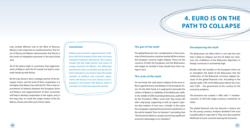# **4. EURO IS ON THE PATH TO COLLAPSE**

only combat effective unit to the West of Moscow. Belarus is also important as a political partner. The Union of Russia and Belarus demonstrates that Russia is the centre of integration processes in the post-Soviet area.

All of the above leads to conclusion that rapprochement of Belarus with the EU would not lead to automatic break-up with Russia.

By the way, Russia is also a strategic partner of the European Union, and the level of their cooperation is a lot higher than Belarus has with the EU. That is why improvement of relations between the European Union and Belarus and rapprochement of their economies will help to develop cooperation in the region, and, in the long view, to create the single market of the EU, Belarus, Russia and other post-Soviet states.

#### **Conclusion**

Political and economic rapprochement of Belarus with the European Union does not mean a breach of relations with Russia. This country remains the key trade partner and source of energy resources for Belarus. The Belarusian government does not declare joining the EU; that is why there is no need to reject the whole complex of political and economic agreements with Russia. In its turn, Russia is not interested in the breach with Belarus, which it considers an extremely important partner.

#### **The gist of the myth**

The global financial crisis, complications in the economies of the Eurozone countries started off the rumours the European currency might collapse. These are the concerns of both the Europeans and the Belarusians, who began to hesitate if they should have their savings in euro.

#### **The roots of the myth**

On one hand, the myth about collapse of the euro reflects apprehensions and debates in the European Union. On the other hand, it is supposed to persuade the citizens of Belarus in reliability of the Belarusian ruble. In the middle of 2005 *Sovetskaya Belorussia*, published by the President's Office, wrote that "big money fall with a big bang" supporting it with an expert's opinion that creation of euro was a mistake. In five years the newspaper repeated the pessimistic predictions in the article headed "Euro on Vacation" concluding that "the Eurozone failed as a project promising significant economic advantages to its members".

#### **Decomposing the myth**

The Belarusians are often told it is not only the euro that is likely to collapse, but the US dollar too. However, the confidence of the Belarusian depositors in foreign currencies is consistently high.

Besides that, the troubles in the European Union are to strengthen the belief of the Belarusians that the misfortunes of the Belarusian economy happen because of the global financial crisis. According to the opinion polls, 34% of the Belarusians blame the crisis, and 15.8% -- the government of the country for the economic problems.

The Eurozone was created n 1999, with 11 membercountries. In 2010 the single currency is shared by 16 states.

The global financial crisis has become a serious test for the young currency. Analysts doubted if the euro would be able to cope with it. They even discussed the likelihood of some countries leaving the Eurozone.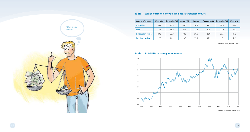# **Table 1. Which currency do you give most credence to?, %**

| <b>Variant of answer</b> | March'04 | September'05 | January'07 | June'08 |      | December'08 September'09 | March'10 |
|--------------------------|----------|--------------|------------|---------|------|--------------------------|----------|
| <b>US Dollars</b>        | 50.1     | 43.5         | 40.5       | 26.7    | 41.2 | 37.8                     | 43.2     |
| <b>Euro</b>              | 17.5     | 16.2         | 23.3       | 37.3    | 19.5 | 27.9                     | 23.9     |
| <b>Belarusian rubles</b> | 28.0     | 33.7         | 32.0       | 28.5    | 28.8 | 27.6                     | 26.2     |
| <b>Russian rubles</b>    | 17.5     | 16.2         | 23.3       | 37.3    | 19.5 | 2.5                      | 2.7      |

Source: IISEPS, March 2010, #3





Source: European Central Bank

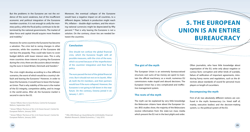But the problems in the Eurozone are not the evidence of the euro's weakness, but of the insufficient economic and political integration of the Eurozone member-countries. It is not enough to unify the monetary policy, while the fiscal policy continues to be determined by the national governments. The market of labor force and capital should acquire more freedom and mobility.<sup>7</sup>

However, for some countries the Eurozone has become a salvation. The crisis led to swing changes in other currencies, while the countries of the Eurozone did not face the jeopardy. They could take loans to cover budget deficits with lower interest rates. This is why more countries show interest in joining the Eurozone during the crisis; there are discussions about introducing the euro in Great Britain, Denmark and Sweden.8

The crisis might develop according to a few different scenarios, the worst of which would be a country's default and leaving the Eurozone.<sup>9</sup> However, in order to leave the Eurozone, it would have to leave the European Union. That is why stability of the euro is the matter of the EU integrity, competitive ability, and its image in the world arena. After all, the Eurozone market is second in size to the US.

7 Simon Tilford, *How to Save the Euro*, Centre for European Reform, September 2010.

8 Simon Tilford, *The Euro at Ten: Is Its Future Secure?*, Centre for European Reform, January 2009.

9 Simon Tilford, *The Euro at Ten: Is Its Future Secure?*, Centre for European Reform, January 2009.

Moreover, the eventual collapse of the Eurozone would have a negative impact on all countries, to a different degree. Setback in production might reach 9%, inflation – double-digit numbers, and the returning national currencies might be depreciated by fifty percent.10 That is why leaving the Eurozone is not a solution. On the contrary, closer ties are needed between the countries.

# **Conclusion**

One should not confuse the global financial crisis, which the Eurozone fought with all possible measures, with the crisis of the euro, which occurred because of the imperfections of the countries' integration and their fiscal policy.

The euro passed the test of the global financial crisis. But it should not rest on its laurels. After all, both the EU members, and their partners would lose if the euro collapsed. However, the Eurozone is not going to fall down in the near future. On the contrary, Estonia joined it on January 1, 2011.

10 ING, *EMU Break-up: Quantifying the Unthinkable*, Financial Markets Research, Global Economics, 7 July 2010.

# **5. THE EUROPEAN UNION IS AN ENTIRE BUREAUCRACY**

### **The gist of the myth**

The European Union is an extremely bureaucratised structure; vast sums of tax money are spent to maintain the official machinery; as a result, numerous EU commissions make stupid and absurd decisions. The European Union has a very complicated and ineffective management system.

### **The roots of the myth**

The myth can be explained by very little knowledge the Belarusian citizens have about the European Union. BISS studies show, the majority of the Belarusians receive information from the state-run mass media which present the EU not in the best plight and order.

Often journalists, who have little knowledge about organization of the EU, write only about negative or curious facts: corruption and other kinds of scandals, failure of ratification of important agreements, introducing funny norms and regulations, such as the directives about standards of sound for personal music players or length of cucumbers.

# **Decomposing the myth**

First of all, two absolutely different notions are confused in the myth: bureaucracy (i.e. hired staff of, mainly, executive bodies) and the decision-making system, i.e. the political system of the EU.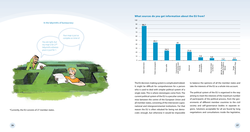

\*Currently, the EU consists of 27 member states.



**What sources do you get information about the EU from?**

The EU decision-making system is complicated indeed. It might be difficult for comprehension for a person who is used to deal with simpler political system of a single state. This is where stereotypes come from. The current political system of the EU is a peculiar compromise between the centre of the European Union and all member states, consisting of the interwoven supranational and intergovernmental institutions. For that reason the EU is often rebuked for being not democratic enough, but otherwise it would be impossible to balance the opinions of all the member states and take the interests of the EU as a whole into account.

The political system of the EU is organised in the way aiming to meet the interests of the maximum number of participants of the political process, from the governments of different member countries to the civil society and self-governance bodies in separate regions. Solutions acceptable for all are found by long negotiations and consultations inside the legislative,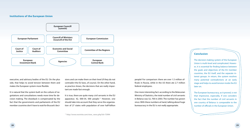#### **Institutions of the European Union**



executive, and advisory bodies of the EU. On the plus side, that helps to avoid tension between them and makes the European system more flexible.

It is natural that the system built on the culture of negotiations and consultations needs more time for decision making. The drawback is compensated by the fact that the governments and parliaments of the EU member countries don't have to wait for Brussels' deci-

sions and can make them on their level (if they do not contradict the EU laws, of course). On the other hand, as practice shows, the decisions that are really important are made fast enough.

It is true, there are quite many civil servants in the EU apparatus: 42, 000-54, 000 people.<sup>11</sup> However, one should take into account that they serve the organization of 27 states with population of over half-billion

11 http://www.novinite.com/view\_news.php?id=75994

people! For comparison: there are over 1.5 million officials in Russia, while in the US there ate 2.7 million federal employees.

One more interesting fact: according to the Belarusian Ministry of Statistics, the total number of civil servants in Belarus was 52, 700 in 2003. The number has grown since. With these numbers at hand, talking about huge bureaucracy in the EU is not really appropriate.

# **Conclusion**

The decision-making system of the European Union is multi-level and complicated. However, it is essential for finding balance between the goals and objectives of the EU member countries, the EU itself, and the separate interest groups. In return, the system resolves many potential contradictions at an early stage and helps to avoid tension inside the EU later on.

The European bureaucracy, as it proved, is not that impressive, especially, if one considers the fact that the number of civil servants in one country of Belarus is comparable to the number of officials in the European Union.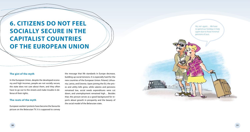# **6. CITIZENS DO NOT FEEL SOCIALLY SECURE IN THE CAPITALIST COUNTRIES OF THE EUROPEAN UNION**

#### **The gist of the myth**

In the European Union, despite the developed economy and high incomes, people are not socially secure, the state does not care about them, and they often have to go out to the streets and make trouble in defense of their rights.

### **The roots of the myth**

European workers' protests have become the favourite picture on the Belarusian TV. It is supposed to convey

the message that life standards in Europe decrease, building up social tensions. It is especially hard for the new countries of the European Union: Poland, Lithuania, Latvia, and Estonia. Upon joining the EU, the prices and utility bills grew, while salaries and pensions remained low, social needs expenditures were cut down, and unemployment remained high… Besides that, this picture serves as a good background for reports about growth in prosperity and the beauty of the social model of the Belarusian state.

*No, not again… We have to spend our holidays in Italy again due to those minimal pensions of ours.*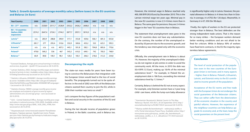| Year/Country                                           | 2000   | 2001   | 2002   | 2003   | 2004   | 2005   | 2006   | 2007  | 2008  | 2009  |
|--------------------------------------------------------|--------|--------|--------|--------|--------|--------|--------|-------|-------|-------|
| $EU - 2712$ countries                                  | n/a    | 2328,9 | 2511.7 | 2528.9 | 2352.2 | 2426.2 | 2608.5 | n/a   | n/a   | n/a   |
| <b>EU - 15 countries</b><br>(before 2004<br>expansion) | 2574.1 | 2647.4 | 2724.1 | 2744.1 | 2877.7 | 2957.1 | 3010.3 | n/a   | n/a   | n/a   |
| Latvia <sup>13</sup>                                   | n/a    | 283.9  | 288.8  | 290.9  | 317.1  | 353,8  | 429.6  | 566.1 | 681,3 | 655,8 |
| Lithuania <sup>14</sup>                                | 281.7  | 277    | 293.4  | 310.6  | 332.9  | 369.6  | 433.2  | 522   | 623,1 | 595.5 |
| Estonia <sup>15</sup>                                  | n/a    | n/a    | n/a    | 407,3  | 443.1  | 501,8  | 582,1  | 704.8 | 805,6 | 770,6 |
| Poland <sup>16</sup>                                   | 479.8  | 569.2  | 536    | 467    | 543.2  | 610.3  | 649.1  | 742   | 783.5 | 748.9 |
| Belarus <sup>17</sup>                                  | 60,9   | 89,8   | 100,1  | 98,1   | 120,5  | 183,1  | 206,3  | 218,6 | 312,3 | 234,8 |

**Table 2. Growth dynamics of average monthly salary (before taxes) in the EU countries and Belarus (in Euro)**

12 Eurostat Database, *Average gross annual earnings in industry and services, by gender – [tps00175]* (accessed on 28.10.2010).

13 Latvian Statistics, *DS02. Average monthly wages and salaries by kind of activity (in lats)*. Available online: http://data.csb.gov. lv/Dialog/Saveshow.asp (accessed on 28.10.2010).

14 Statistics Lithuania, *M3060801: Average monthly earnings by sector.* Available online: http://db1.stat.gov.lt/statbank/ SelectVarVal/Define.asp?Maintable=M3060801&PLanguage= 1 (accessed on 28.10.2010).

15 Statistics Estonia, *YIM005: average monthly gross income per employee and recipients of gross income by region/ administrative unit, sex and age group – euro* (accessed on 28.10.2010).

16 GUS – Central Statistical Office, *Average monthly gross wage and salary in national economy (1950-2009)*. Available online: http://www.stat.gov.pl/gus/5840\_1630\_ENG\_HTML.htm (accessed on 28.10.2010).

17 Национальный статистический комитет Республики Беларусь. Годовые данные. Заработная плата. Режим доступа: http://belstat.gov.by/homep/ru/indicators/wages. php (доступен 28.10.2010). 18 IISEPS

### **Decomposing the myth**

The state-run mass media for years have been trying to convince the Belarusians that integration with the European Union would lead to the loss of social benefits. The propaganda turned out to be quite effective: in the end of 2002 over 60% of the Belarusian citizens wanted their country to join the EU, while in 2006 their number was twice as small.<sup>18</sup>

Let's compare the key figures of the population's welfare and social security in the countries of the EU and in Belarus.

During the last decade income of population grows in Poland, in the Baltic countries, and in Belarus too.

However, the minimal wage in Belarus reached only 400, 000 BYR (95.8 Euro) by December 2010. This is the Latvian minimal wage ten years ago. Minimal pay in the new EU countries is now 2.5-4 times more than in Belarus. The same goes for pensions: they are 2-4 times bigger in the "new" EU countries than in Belarus.

The statement that unemployment rates grew in the new EU countries does not have any substantiation. On the contrary, the number of the unemployed reduced by 50 percent due to the economic growth, and the tendency was interrupted only with the economic crisis.

Officially, the unemployment rate in Belarus is about 1%. However, the majority of the unemployed in Belarus do not register at job centres in order to avoid the community work. All the more, in 2010 the dole was 50.4 BYR (12 Euro), making up 18.4% of the minimal subsistence level.<sup>19</sup> For example, in Poland the unemployment dole is 186 Euro, exceeding the minimal subsistence level by 1.5 times.<sup>20</sup>

Certainly, Belarus is behind the EU not at every aspect. For example, only Estonian women have a 3-year long child- care leave, while the lump-sum baby allowance

19 Kanstantsin Skuratovich. Belstat Counts Us This Way. "Belorusy I Rynok", #35 (921), 20-26 September 2010, http:// www.belmarket.by/ru/93/80/7292/# (accessed 28.10.2010).

20 Wyższy zasiłek dla bezrobotnych – waloryzacja zasiłku o 3,5%, Portal internetowy Prawo Pracy. Available online: http:// www.prawo-pracy.pl/wyzszy\_zasilek\_dla\_bezrobotnych\_\_\_ waloryzacja\_zasilku\_o\_3\_5\_-aktualnosci-751.html (acessed on 28.10.2010).

is significantly higher only in Latvia. However, the prenatal allowance in Belarus is 4 times less than in Estonia. In average, it is €702 (for 126 days). Meanwhile, in Germany it is €7, 050 (for 98 days).

 Finally, the rights of workers in the EU are protected stronger than in Belarus. The best defenders are the strong independent trade unions. That is the reason for so many strikes – the European workers demand better working conditions and are not afraid to be fired for criticism. While in Belarus 90% of workers have fixed term contracts, in the EU the majority signs termless labour agreements.

### **Conclusion**

The level of social protection of the population even in the new countries of the European Union is not lower, and in many aspects – higher, than in Belarus. Poland's, Lithuania's, Latvia's, and Estonia's entry to the EU contributed to income growth of the population.

Acceptance of the EU norms and free trade with the European Union do not endanger the social guarantees of the Belarusian citizens. They can rather suffer from the deterioration of the economic situation in the country and painful reforms. However, the experience of the neighbour countries can help Belarus upgrade its economy and, at the least, keep the social guarantees on the present level.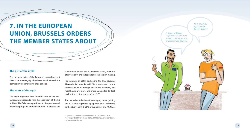# **7. IN THE EUROPEAN UNION, BRUSSELS ORDERS THE MEMBER STATES ABOUT**

#### **The gist of the myth**

The member states of the European Union have lost their state sovereignty. They have to ask Brussels for permission for conducting their policies.

# **The roots of the myth**

The myth originates from intensification of the anti-European propaganda with the expansion of the EU in 2004. The Belarusian president in his speeches and analytical programs of the Belarusian TV stressed the

subordinate role of the EU member states, their loss of sovereignty and independence in decision-making.

For instance, in 2008, addressing the BSU students Alexander Lukashenka said: "At present even on the smallest issues of foreign policy and economy out neighbours are more and more compelled to look back at the central bodies of the EU".21

The myth about the loss of sovereignty due to joining the EU is also registered by opinion polls. According to the study in 2010, 20% of supporters and 49.4% of

<sup>21</sup> Speech of the President of Belarus A. Lukashenka at a meeting with BSU students, 12.02.2008 (http://president.gov. by/press55946.html)

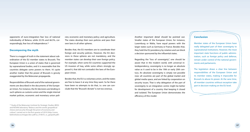opponents of euro-integration fear loss of national individuality of Belarus, while 25.5% and 66.5%, correspondingly, fear loss of independence.<sup>22</sup>

### **Decomposing the myth**

There is a nugget of truth in the statement about subordination of the EU member states to Brussels. The European Union is a union of states that is governed by supranational bodies, and it is reasonable that the countries delegate some powers to them. It's quite another matter that the power of Brussels is grossly exaggerated by the Belarusian propaganda.

Responsibilities of Brussels and of the national governments are described in the documents of the European Union. For instance, the EU decisions are binding in such spheres as customs union and the single internal market policies, economic and monetary union poli-

22 Study of the Belarusian Institute for Strategic Studies (BISS) and NOVAK laboratory "Belarus and the world: geopolitical choice and security through the prism of economy and culture", carried out in the first quarter of 2010 (http://www. belinstitute.eu/images/doc-pdf/sa\_010610\_ru\_geopolit.pdf)

cies; economic and monetary policy; and agriculture. The states develop their own policies and pass their own laws in all other spheres.

Besides that, the EU members are to coordinate their foreign and security policies. However, the EU decisions in these spheres are not mandatory, and the member states can develop their own foreign policy. For example, when some EU countries supported the US invasion of Iraq, while some others strongly opposed it, that did not contradict the laws of the European Union.

Besides that, the EU is a voluntary union, and the states are free to leave it at any time they want. So far there have been no attempts to do that, i.e. one can conclude that the "Brussels' dictate" is not too onerous.

Another important detail should be pointed out. Smaller states of the European Union, for instance, Luxemburg or Malta, have equal powers with the larger states such as Germany or France. Besides that, they hold the EU presidency by rotation and can block a decision sponsored by the influential states.

Regarding the "loss of sovereignty", one should be aware that in the modern world, with universal interdependency, sovereignty is no longer an absolute value as it used to be in the 19th or early 20th century. An absolute sovereignty is simply not possible now: all countries are part of the global market and global media space, and are linked by cooperation on security issues. That is why delegation of the part of sovereignty to an integration centre might be better for development of a country that keeping it closed and isolated. The European Union demonstrates the efficiency of this model.

#### **Conclusion**

Member states of the European Union have really delegated part of their sovereignty to supranational institutions. However, the most important state functions of public administration, such as foreign policy and defense, remain under control of the national governments and parliaments.

The legislation draws a clear line between responsibilities of the European Union and its member states, making it impossible for Brussels to abuse its power. At the sane time, all member countries without exception take part in decision-making on the EU level.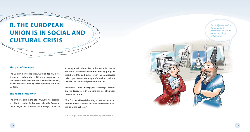# **8. THE EUROPEAN UNION IS IN SOCIAL AND CULTURAL CRISIS**

### **The gist of the myth**

The EU is in a systemic crisis. Cultural decline, moral decadence, and growing political and economic contradictions inside the European Union will eventually lead to a collapse not only of the Eurozone, but of the EU itself.

### **The roots of the myth**

The myth was born in the late 1990's, but was especially cultivated during the last years when the European Union began to constitute an ideological menace,

showing a vivid alternative to the Belarusian reality. The state TV channels began broadcasting programs that showed the dark side of life in the EU: dispersed rallies, gay parades (as a sign of moral and cultural decadence), strikes and protests of workers…

President's Office' newspaper Sovetskaya Belorus*siya* fed its readers with terrifying pictures of Europe's present and future:

"The European Union is bursting at the fresh seams. At bottom of fact, failure of the Euro-constitution is just the tip of the iceberg".<sup>23</sup>

23 "Sovetskaya Belorussiya" (http://www.sb.by/post/44090/)



*Dear Volfgang Amadeus, the rumours have*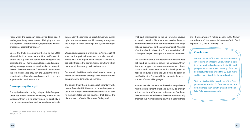"Now, when the European economy is doing bad, it has begun ruining states instead of bringing the peoples together. One after another, regions start "divorce" procedures against their states.<sup>24</sup>

One of the tricks is comparing the EU to the USSR, where all decisions were made in Moscow (Brussels, in case of the EU), with one nation dominating over the others (in the EU -- Germany and France), and one prevailing ideology (democracy and market economy in the EU). The Belarusians are familiar with the notion of the coming collapse: they saw the Soviet Union tumbling to ruins, although several years earlier it seemed imperishable. Let alone the EU!

# **Decomposing the myth**

The myth about the coming collapse of the European Union has little in common with reality. First of all, the European Union is a voluntary union. Its durability is both in the common historical path and cultural tradi-

24 "Sovetskaya Belorussiya", 17.07.2010 (http://www.sb.by/ post/102790/)

tions, and in the common values of democracy, human rights and market economy. All that only strengthens the European Union and helps the system self-regulate.

We can give an example of elections in Austria in 2000, when radical political forces won the election. Who knows what kind of path Austria would take if the EU did not introduce the administrative sanctions which had steered the country back to democracy.

Decisions in the EU are made after long discussion, by means of compromise among all the interested parties, preventing tensions and conflicts.

The Lisbon Treaty has a clause about voluntary withdrawal from the EU. However, no state has plans to use it. The European Union remains attractive for both its member states and the countries that declare the plans to join it (Croatia, Macedonia, Turkey, etc).

That said, membership in the EU provides obvious economic benefits. Member states receive financial aid from the EU funds to conduct reforms and adapt national economies to the common market. Absence of customs barriers inside the EU and a market of halfbillion people open new opportunities for commerce.

The statement about the decadence of culture does not stand up to criticism either. The European Union funds and supports an enormous number of cultural projects and creates conditions for development of national cultures. Unlike the USSR with its policy of russification, the European Union supports the development of national languages.

In order to make certain that the EU has no problems with the development of art and culture, it's enough just to come to any European capital and see first-hand the number of cultural events the Belarusians can only dream about. A simple example: while in Belarus there

are 14 museums per 1 million people, in the Netherlands there are 35 museums, in Sweden -- 34, in Czech Republic – 33, and in Germany – 32.

### **Conclusion**

Despite certain difficulties, the European Union remains an attractive union, which is able to secure political and economic stability and prosperity to its members. The entry of the Lisbon Treaty into force united the EU even more and increased its role in the world politics.

Statements about the decadence of the European culture are also far from reality and are nothing more than a myth created by the official Belarusian propaganda.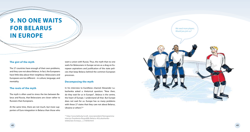# **9. NO ONE WAITS FOR BELARUS IN EUROPE**

### **The gist of the myth**

The 27 countries have enough of their own problems, and they care not about Belarus. In fact, the Europeans have little idea about their neighbour. Belarusians and Europeans are too different – in culture, language, and mentality.

### **The roots of the myth**

The myth is often used to stress the ties between Belarus and Russia, that Belarusians are closer rather to Russians than Europeans.

At the same time, there are not much, but more supporters of Euro-integration in Belarus than those who want a union with Russia. Thus, the myth that no one waits for Belarusians in Europe serves as a drag on European aspirations and justification of the state policies that keep Belarus behind the common European processes.

#### **Decomposing the myth**

In his interview to EuroNews channel Alexander Lukashenka asked a rhetorical question: "Now then, do they wait for us in Europe?.. Belarus is the centre, the heart of Europe. I understand all that. But Europe does not wait for us. Europe has so many problems with these 27 states that they care not about Belarus, Ukraine or others".25

25 http://www.belta.by/ru/all\_news/president/Stenogrammaintervju-Prezidenta-Respubliki-Belarus-AGLukashenkotelekanalu-Evronjus\_i\_516058.html

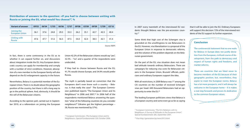**Distribution of answers to the question: «If you had to choose between uniting with Russia or joining the EU, what would You choose?", %**

| <b>Variant of answer</b>             | 09'03 | 06'04 | 12'05 | 06'06 | 12'07 | 09'08 | 03'09 | 09'09 | 12'09 | 03'10 |
|--------------------------------------|-------|-------|-------|-------|-------|-------|-------|-------|-------|-------|
| Joining the<br><b>European Union</b> | 36.1  | 37.6  | 24.8  | 29.3  | 33.3  | 26.2  | 35.1  | 42.7  | 42.3  | 40.4  |
| Uniting with<br><b>Russia</b>        | 47.6  | 47.7  | 51.6  | 56.5  | 47.5  | 54.0  | 42.4  | 38.3  | 42.1  | 41.4  |

Source: IISEPS

In fact, there is some controversy in the EU as to whether it can expand further on, and discussions about integration inside the EU. Any European democratic country can apply for membership and comply with a number of strict conditions. However, absorption of a new member to the European family will also depend on the EU enlargement capacity in the future.

Nevertheless, Belarus is a potential member of the European Union. There is no doubt about the geographic position of the country, but there is still a long way to go in the political sphere. And, obviously, it should be the will of the Belarusian citizens.

According to the opinion poll, carried out in September 2010, at a referendum on joining the European

Union 42.2% of the Belarusian citizens would say "yes", 32.5% – "no", and a quarter of the respondents were undecided.

If they had to choose between Russia and the EU, 41.7% would choose Europe, and 34.9% would prefer Russia.

The myth is partially based on conviction that the Europeans don't even know such a country – Belarus. Is that really the case? The European Commission published reports "The European Union and Its Neighbours" in 2006 and 2007.26 In 2006 half of the respondents mentioned Belarus answering the question "what of the following countries do you consider neighbours?" (Ukraine got the highest percentage – 58, Russia was mentioned by 57%).

<sup>26</sup> European Commission, «The European Union and Its Neighbours», Special Eurobarometer 259, October 2006. In 2007 every twentieth of the interviewed EU residents thought Belarus was the pre-accession country.27

Some think that high cost of the Schengen visa is grounded on the unwillingness to see Belarusians in the EU. However, visa liberalization is a proposal of the European Union in response to democratic reforms, and the solution of the problem depends on the Belarusian government.

On the part of the EU, visa situation does not mean bad attitude towards ordinary Belarusians. There are campaigns for reducing visa costs for Belarusian citizens in the European Union, Brussels' officials, politicians and ordinary Europeans support the idea.

With all restrictions, in 2009 Belarus was 1<sup>st</sup> among the CIS countries on the number of received Schengen visas per head: 449 thousand Belarusians had an opportunity to enter the EU.28

The leading European politicians stress that Belarus is a European country and some even go as far as saying

28 Visa http://generation.by/news3913.html

that it will be able to join the EU. Ordinary Europeans will support this decision: 72% of the interviewed residents of the EU support its further expansion.

#### **Conclusion**

The controversial statement that no one waits for Belarus in Europe does not justify deviation from the European, civilised course of development, from the path to democracy and respect of human rights and freedoms, and market reforms.

There are countries that are fated never to become members of the EU because of their geographic position, but, nevertheless, they aspire to meet the European norms. Belarus has a lot more prospects, and it will always be welcome in the European home – if it makes a real step forwards and proves its dedication to the common European values.

<sup>&</sup>lt;sup>27</sup> European Commission, "The EU's Relations with its Neighbours: A Survey of Attitudes in the European Union", Special Eurobarometer 285, September 2007.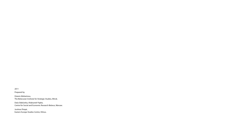2011

Prepared by

Dzianis Meliantsou, The Belarusian Institute for Strategic Studies, Minsk.

Daša Słabčanka, Aliaksandr Papko, Centre for Social and Economic Research Belarus, Warsaw.

Justinas Pimpė, Eastern Europe Studies Centre, Vilnius.